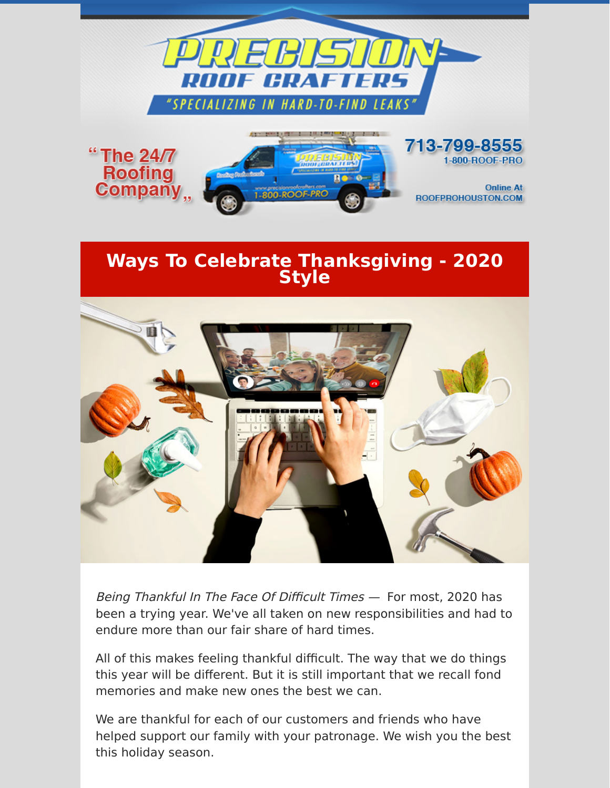

## **Ways To Celebrate Thanksgiving - 2020 Style**



Being Thankful In The Face Of Difficult Times — For most, 2020 has been a trying year. We've all taken on new responsibilities and had to endure more than our fair share of hard times.

All of this makes feeling thankful difficult. The way that we do things this year will be different. But it is still important that we recall fond memories and make new ones the best we can.

We are thankful for each of our customers and friends who have helped support our family with your patronage. We wish you the best this holiday season.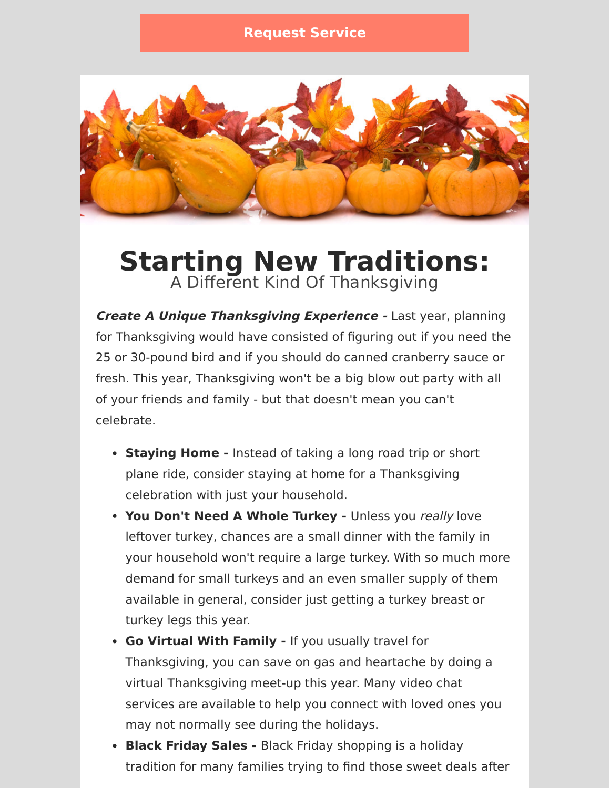

## **Starting New Traditions:** A Different Kind Of Thanksgiving

**Create A Unique Thanksgiving Experience -** Last year, planning for Thanksgiving would have consisted of figuring out if you need the 25 or 30-pound bird and if you should do canned cranberry sauce or fresh. This year, Thanksgiving won't be a big blow out party with all of your friends and family - but that doesn't mean you can't celebrate.

- **Staying Home** Instead of taking a long road trip or short plane ride, consider staying at home for a Thanksgiving celebration with just your household.
- **You Don't Need A Whole Turkey -** Unless you really love leftover turkey, chances are a small dinner with the family in your household won't require a large turkey. With so much more demand for small turkeys and an even smaller supply of them available in general, consider just getting a turkey breast or turkey legs this year.
- **Go Virtual With Family** If you usually travel for Thanksgiving, you can save on gas and heartache by doing a virtual Thanksgiving meet-up this year. Many video chat services are available to help you connect with loved ones you may not normally see during the holidays.
- **Black Friday Sales** Black Friday shopping is a holiday tradition for many families trying to find those sweet deals after